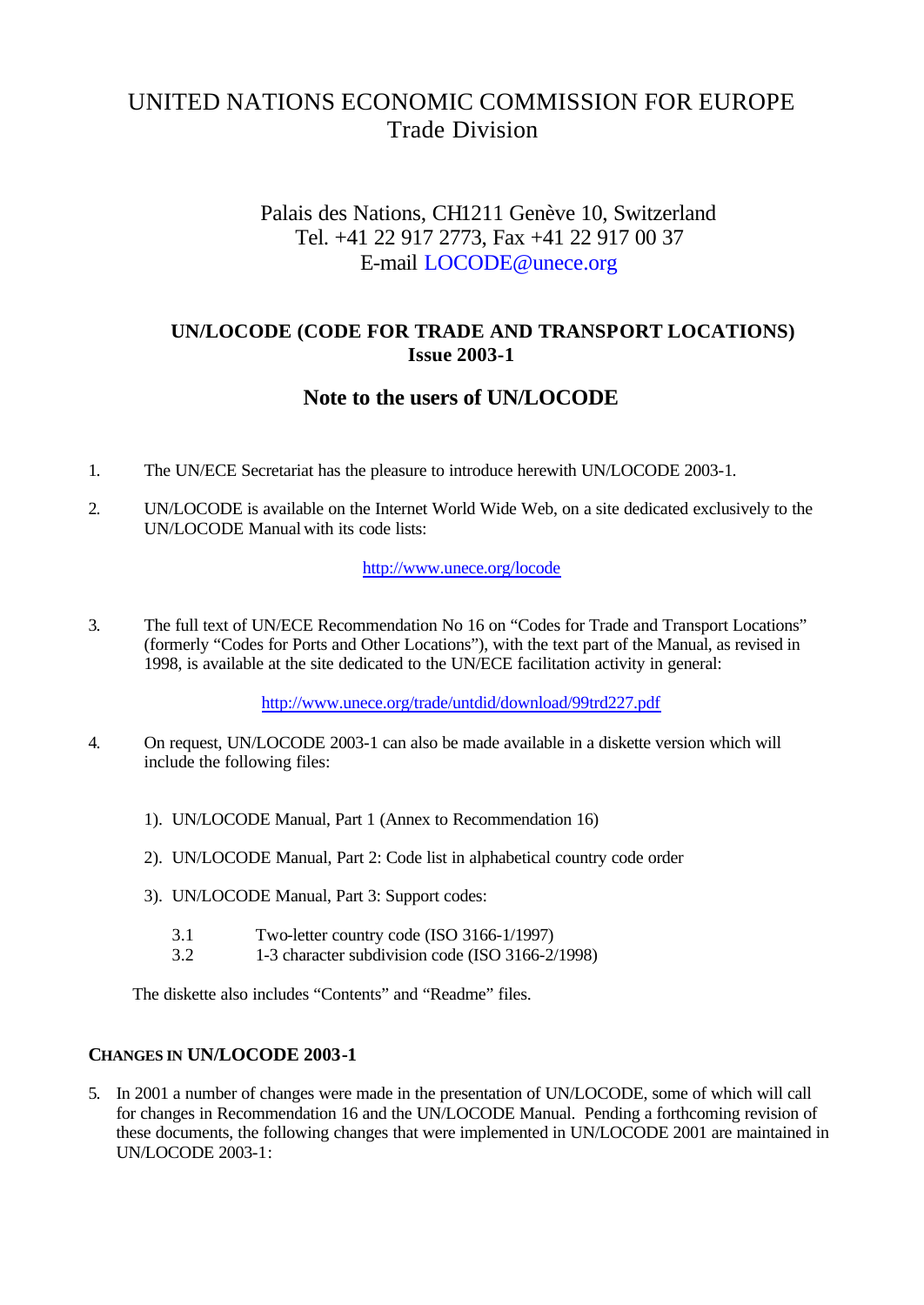# UNITED NATIONS ECONOMIC COMMISSION FOR EUROPE Trade Division

## Palais des Nations, CH1211 Genève 10, Switzerland Tel. +41 22 917 2773, Fax +41 22 917 00 37 E-mail LOCODE@unece.org

## **UN/LOCODE (CODE FOR TRADE AND TRANSPORT LOCATIONS) Issue 2003-1**

## **Note to the users of UN/LOCODE**

- 1. The UN/ECE Secretariat has the pleasure to introduce herewith UN/LOCODE 2003-1.
- 2. UN/LOCODE is available on the Internet World Wide Web, on a site dedicated exclusively to the UN/LOCODE Manual with its code lists:

#### http://www.unece.org/locode

3. The full text of UN/ECE Recommendation No 16 on "Codes for Trade and Transport Locations" (formerly "Codes for Ports and Other Locations"), with the text part of the Manual, as revised in 1998, is available at the site dedicated to the UN/ECE facilitation activity in general:

http://www.unece.org/trade/untdid/download/99trd227.pdf

- 4. On request, UN/LOCODE 2003-1 can also be made available in a diskette version which will include the following files:
	- 1). UN/LOCODE Manual, Part 1 (Annex to Recommendation 16)
	- 2). UN/LOCODE Manual, Part 2: Code list in alphabetical country code order
	- 3). UN/LOCODE Manual, Part 3: Support codes:
		- 3.1 Two-letter country code (ISO 3166-1/1997)
		- 3.2 1-3 character subdivision code (ISO 3166-2/1998)

The diskette also includes "Contents" and "Readme" files.

#### **CHANGES IN UN/LOCODE 2003-1**

5. In 2001 a number of changes were made in the presentation of UN/LOCODE, some of which will call for changes in Recommendation 16 and the UN/LOCODE Manual. Pending a forthcoming revision of these documents, the following changes that were implemented in UN/LOCODE 2001 are maintained in UN/LOCODE 2003-1: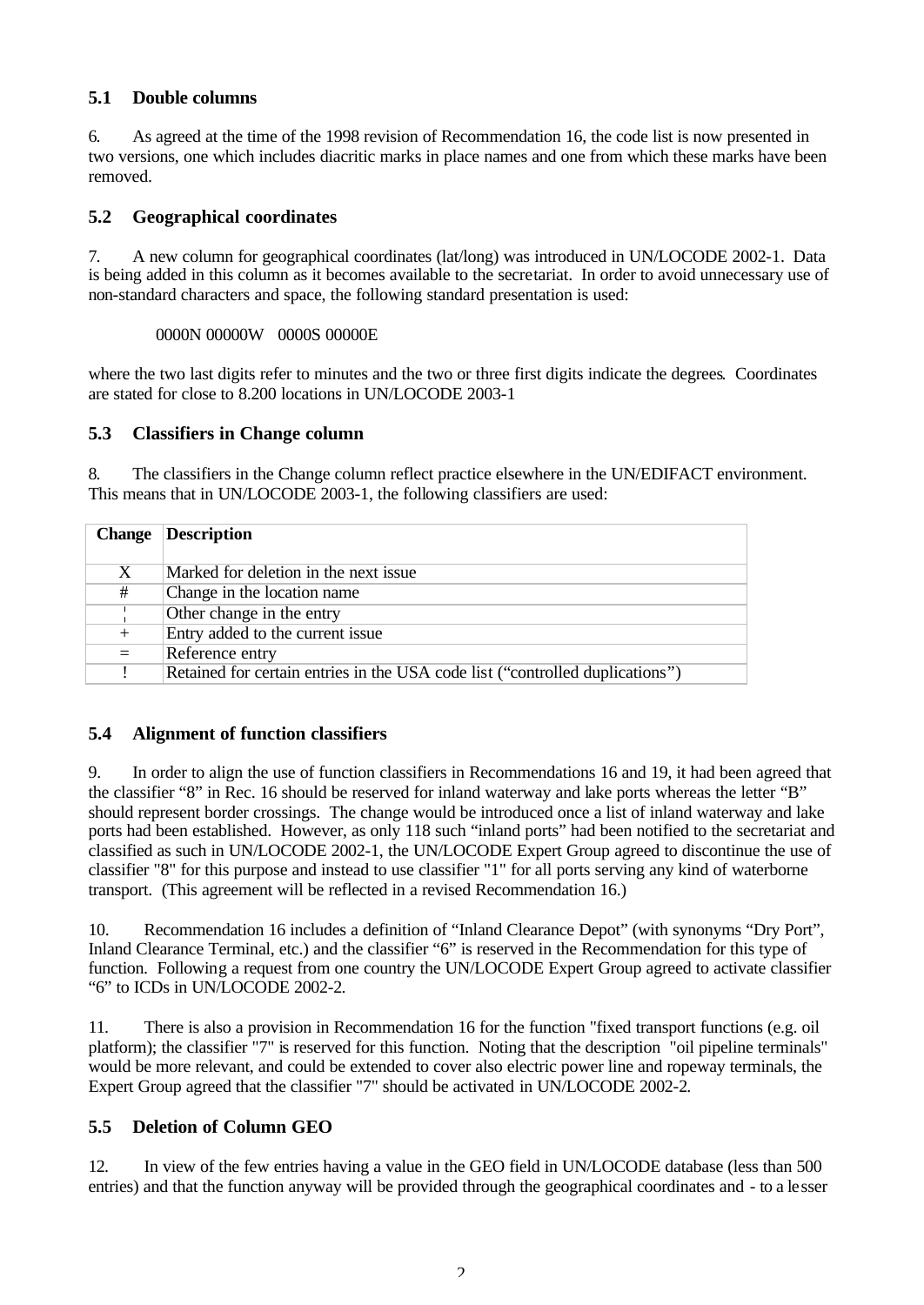### **5.1 Double columns**

6. As agreed at the time of the 1998 revision of Recommendation 16, the code list is now presented in two versions, one which includes diacritic marks in place names and one from which these marks have been removed.

#### **5.2 Geographical coordinates**

7. A new column for geographical coordinates (lat/long) was introduced in UN/LOCODE 2002-1. Data is being added in this column as it becomes available to the secretariat. In order to avoid unnecessary use of non-standard characters and space, the following standard presentation is used:

#### 0000N 00000W 0000S 00000E

where the two last digits refer to minutes and the two or three first digits indicate the degrees. Coordinates are stated for close to 8.200 locations in UN/LOCODE 2003-1

#### **5.3 Classifiers in Change column**

8. The classifiers in the Change column reflect practice elsewhere in the UN/EDIFACT environment. This means that in UN/LOCODE 2003-1, the following classifiers are used:

| <b>Change</b> | Description                                                                   |
|---------------|-------------------------------------------------------------------------------|
|               |                                                                               |
| X             | Marked for deletion in the next issue                                         |
| #             | Change in the location name                                                   |
|               | Other change in the entry                                                     |
| $^{+}$        | Entry added to the current issue                                              |
| $=$           | Reference entry                                                               |
|               | Retained for certain entries in the USA code list ("controlled duplications") |

#### **5.4 Alignment of function classifiers**

9. In order to align the use of function classifiers in Recommendations 16 and 19, it had been agreed that the classifier "8" in Rec. 16 should be reserved for inland waterway and lake ports whereas the letter "B" should represent border crossings. The change would be introduced once a list of inland waterway and lake ports had been established. However, as only 118 such "inland ports" had been notified to the secretariat and classified as such in UN/LOCODE 2002-1, the UN/LOCODE Expert Group agreed to discontinue the use of classifier "8" for this purpose and instead to use classifier "1" for all ports serving any kind of waterborne transport. (This agreement will be reflected in a revised Recommendation 16.)

10. Recommendation 16 includes a definition of "Inland Clearance Depot" (with synonyms "Dry Port", Inland Clearance Terminal, etc.) and the classifier "6" is reserved in the Recommendation for this type of function. Following a request from one country the UN/LOCODE Expert Group agreed to activate classifier "6" to ICDs in UN/LOCODE 2002-2.

11. There is also a provision in Recommendation 16 for the function "fixed transport functions (e.g. oil platform); the classifier "7" is reserved for this function. Noting that the description "oil pipeline terminals" would be more relevant, and could be extended to cover also electric power line and ropeway terminals, the Expert Group agreed that the classifier "7" should be activated in UN/LOCODE 2002-2.

## **5.5 Deletion of Column GEO**

12. In view of the few entries having a value in the GEO field in UN/LOCODE database (less than 500 entries) and that the function anyway will be provided through the geographical coordinates and - to a lesser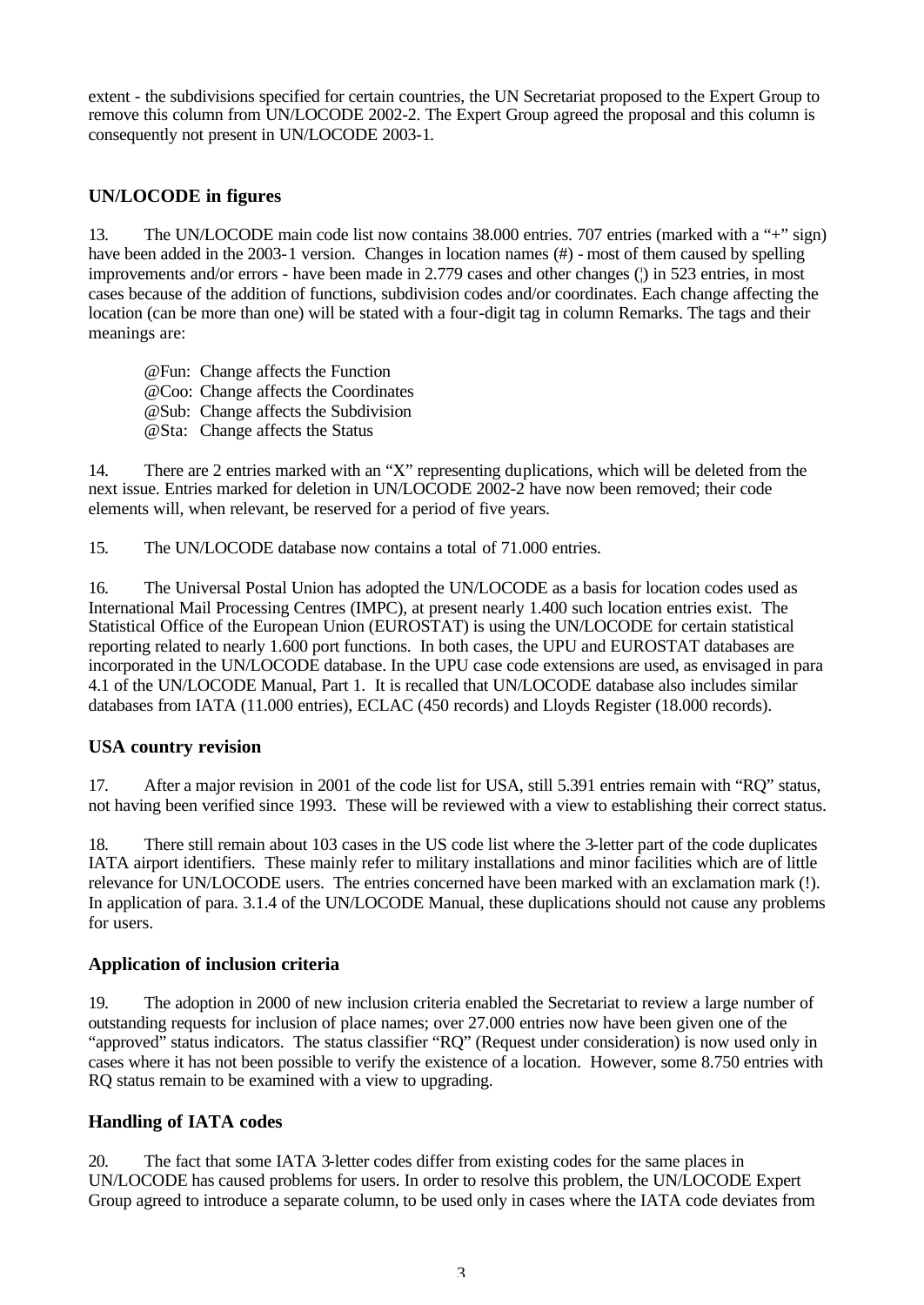extent - the subdivisions specified for certain countries, the UN Secretariat proposed to the Expert Group to remove this column from UN/LOCODE 2002-2. The Expert Group agreed the proposal and this column is consequently not present in UN/LOCODE 2003-1.

## **UN/LOCODE in figures**

13. The UN/LOCODE main code list now contains 38.000 entries. 707 entries (marked with a "+" sign) have been added in the 2003-1 version. Changes in location names (#) - most of them caused by spelling improvements and/or errors - have been made in 2.779 cases and other changes ( $\beta$ ) in 523 entries, in most cases because of the addition of functions, subdivision codes and/or coordinates. Each change affecting the location (can be more than one) will be stated with a four-digit tag in column Remarks. The tags and their meanings are:

@Fun: Change affects the Function @Coo: Change affects the Coordinates @Sub: Change affects the Subdivision @Sta: Change affects the Status

14. There are 2 entries marked with an "X" representing duplications, which will be deleted from the next issue. Entries marked for deletion in UN/LOCODE 2002-2 have now been removed; their code elements will, when relevant, be reserved for a period of five years.

15. The UN/LOCODE database now contains a total of 71.000 entries.

16. The Universal Postal Union has adopted the UN/LOCODE as a basis for location codes used as International Mail Processing Centres (IMPC), at present nearly 1.400 such location entries exist. The Statistical Office of the European Union (EUROSTAT) is using the UN/LOCODE for certain statistical reporting related to nearly 1.600 port functions. In both cases, the UPU and EUROSTAT databases are incorporated in the UN/LOCODE database. In the UPU case code extensions are used, as envisaged in para 4.1 of the UN/LOCODE Manual, Part 1. It is recalled that UN/LOCODE database also includes similar databases from IATA (11.000 entries), ECLAC (450 records) and Lloyds Register (18.000 records).

## **USA country revision**

17. After a major revision in 2001 of the code list for USA, still 5.391 entries remain with "RQ" status, not having been verified since 1993. These will be reviewed with a view to establishing their correct status.

18. There still remain about 103 cases in the US code list where the 3-letter part of the code duplicates IATA airport identifiers. These mainly refer to military installations and minor facilities which are of little relevance for UN/LOCODE users. The entries concerned have been marked with an exclamation mark (!). In application of para. 3.1.4 of the UN/LOCODE Manual, these duplications should not cause any problems for users.

## **Application of inclusion criteria**

19. The adoption in 2000 of new inclusion criteria enabled the Secretariat to review a large number of outstanding requests for inclusion of place names; over 27.000 entries now have been given one of the "approved" status indicators. The status classifier "RQ" (Request under consideration) is now used only in cases where it has not been possible to verify the existence of a location. However, some 8.750 entries with RQ status remain to be examined with a view to upgrading.

#### **Handling of IATA codes**

20. The fact that some IATA 3-letter codes differ from existing codes for the same places in UN/LOCODE has caused problems for users. In order to resolve this problem, the UN/LOCODE Expert Group agreed to introduce a separate column, to be used only in cases where the IATA code deviates from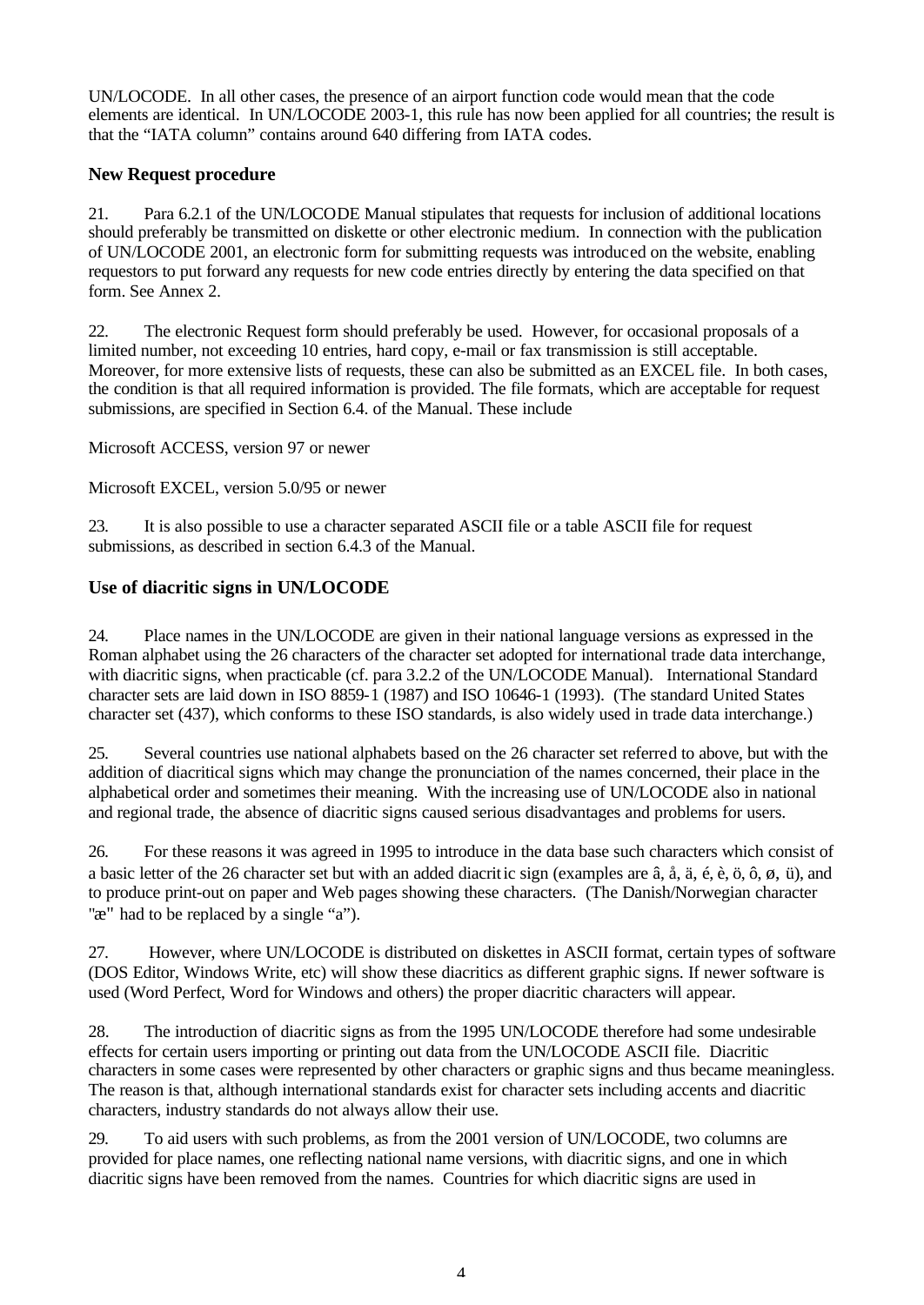UN/LOCODE. In all other cases, the presence of an airport function code would mean that the code elements are identical. In UN/LOCODE 2003-1, this rule has now been applied for all countries; the result is that the "IATA column" contains around 640 differing from IATA codes.

### **New Request procedure**

21. Para 6.2.1 of the UN/LOCODE Manual stipulates that requests for inclusion of additional locations should preferably be transmitted on diskette or other electronic medium. In connection with the publication of UN/LOCODE 2001, an electronic form for submitting requests was introduced on the website, enabling requestors to put forward any requests for new code entries directly by entering the data specified on that form. See Annex 2.

22. The electronic Request form should preferably be used. However, for occasional proposals of a limited number, not exceeding 10 entries, hard copy, e-mail or fax transmission is still acceptable. Moreover, for more extensive lists of requests, these can also be submitted as an EXCEL file. In both cases, the condition is that all required information is provided. The file formats, which are acceptable for request submissions, are specified in Section 6.4. of the Manual. These include

Microsoft ACCESS, version 97 or newer

Microsoft EXCEL, version 5.0/95 or newer

23. It is also possible to use a character separated ASCII file or a table ASCII file for request submissions, as described in section 6.4.3 of the Manual.

### **Use of diacritic signs in UN/LOCODE**

24. Place names in the UN/LOCODE are given in their national language versions as expressed in the Roman alphabet using the 26 characters of the character set adopted for international trade data interchange, with diacritic signs, when practicable (cf. para 3.2.2 of the UN/LOCODE Manual). International Standard character sets are laid down in ISO 8859-1 (1987) and ISO 10646-1 (1993). (The standard United States character set (437), which conforms to these ISO standards, is also widely used in trade data interchange.)

25. Several countries use national alphabets based on the 26 character set referred to above, but with the addition of diacritical signs which may change the pronunciation of the names concerned, their place in the alphabetical order and sometimes their meaning. With the increasing use of UN/LOCODE also in national and regional trade, the absence of diacritic signs caused serious disadvantages and problems for users.

26. For these reasons it was agreed in 1995 to introduce in the data base such characters which consist of a basic letter of the 26 character set but with an added diacritic sign (examples are â, å, ä, é, è, ö, ô, ø, ü), and to produce print-out on paper and Web pages showing these characters. (The Danish/Norwegian character " $\mathbb{R}^n$ " had to be replaced by a single "a").

27. However, where UN/LOCODE is distributed on diskettes in ASCII format, certain types of software (DOS Editor, Windows Write, etc) will show these diacritics as different graphic signs. If newer software is used (Word Perfect, Word for Windows and others) the proper diacritic characters will appear.

28. The introduction of diacritic signs as from the 1995 UN/LOCODE therefore had some undesirable effects for certain users importing or printing out data from the UN/LOCODE ASCII file. Diacritic characters in some cases were represented by other characters or graphic signs and thus became meaningless. The reason is that, although international standards exist for character sets including accents and diacritic characters, industry standards do not always allow their use.

29. To aid users with such problems, as from the 2001 version of UN/LOCODE, two columns are provided for place names, one reflecting national name versions, with diacritic signs, and one in which diacritic signs have been removed from the names. Countries for which diacritic signs are used in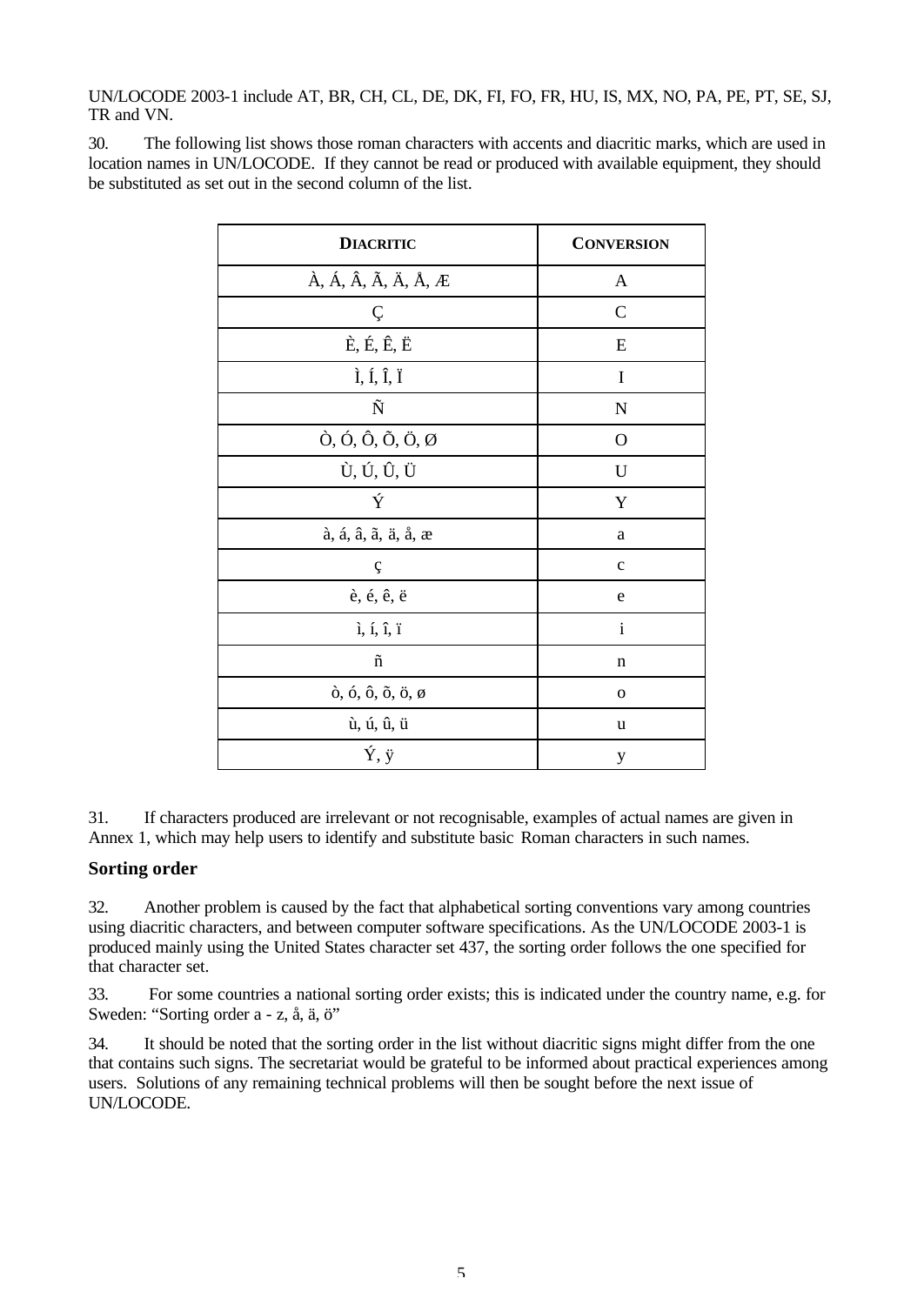UN/LOCODE 2003-1 include AT, BR, CH, CL, DE, DK, FI, FO, FR, HU, IS, MX, NO, PA, PE, PT, SE, SJ, TR and VN.

30. The following list shows those roman characters with accents and diacritic marks, which are used in location names in UN/LOCODE. If they cannot be read or produced with available equipment, they should be substituted as set out in the second column of the list.

| <b>DIACRITIC</b>                                                                                                | <b>CONVERSION</b> |
|-----------------------------------------------------------------------------------------------------------------|-------------------|
| $\hat{A}$ , $\hat{A}$ , $\hat{A}$ , $\tilde{A}$ , $\ddot{A}$ , $\mathring{A}$ , $\mathring{A}$ , $\mathring{A}$ | A                 |
| Ç                                                                                                               | $\mathcal{C}$     |
| $\dot{E}, \acute{E}, \acute{E}, \ddot{E}$                                                                       | E                 |
| $\hat{I}$ , Í, Î, Ï                                                                                             | I                 |
| Ñ                                                                                                               | N                 |
| $\hat{O}$ , Ó, Ô, Õ, Ö, Ø                                                                                       | $\mathbf O$       |
| Ù, Ú, Û, Ü                                                                                                      | U                 |
| Ý                                                                                                               | Y                 |
| à, á, â, ã, ä, å, æ                                                                                             | $\rm{a}$          |
| ç                                                                                                               | $\mathbf c$       |
| è, é, ê, ë                                                                                                      | e                 |
| $i, i, \hat{i}, \hat{i}$                                                                                        | $\rm i$           |
| $\tilde{\mathbf{n}}$                                                                                            | n                 |
| $\delta$ , $\delta$ , $\delta$ , $\delta$ , $\delta$ , $\phi$                                                   | $\mathbf{o}$      |
| ù, ú, û, ü                                                                                                      | u                 |
| Ý, ÿ                                                                                                            | y                 |

31. If characters produced are irrelevant or not recognisable, examples of actual names are given in Annex 1, which may help users to identify and substitute basic Roman characters in such names.

#### **Sorting order**

32. Another problem is caused by the fact that alphabetical sorting conventions vary among countries using diacritic characters, and between computer software specifications. As the UN/LOCODE 2003-1 is produced mainly using the United States character set 437, the sorting order follows the one specified for that character set.

33. For some countries a national sorting order exists; this is indicated under the country name, e.g. for Sweden: "Sorting order a - z, å, ä, ö"

34. It should be noted that the sorting order in the list without diacritic signs might differ from the one that contains such signs. The secretariat would be grateful to be informed about practical experiences among users. Solutions of any remaining technical problems will then be sought before the next issue of UN/LOCODE.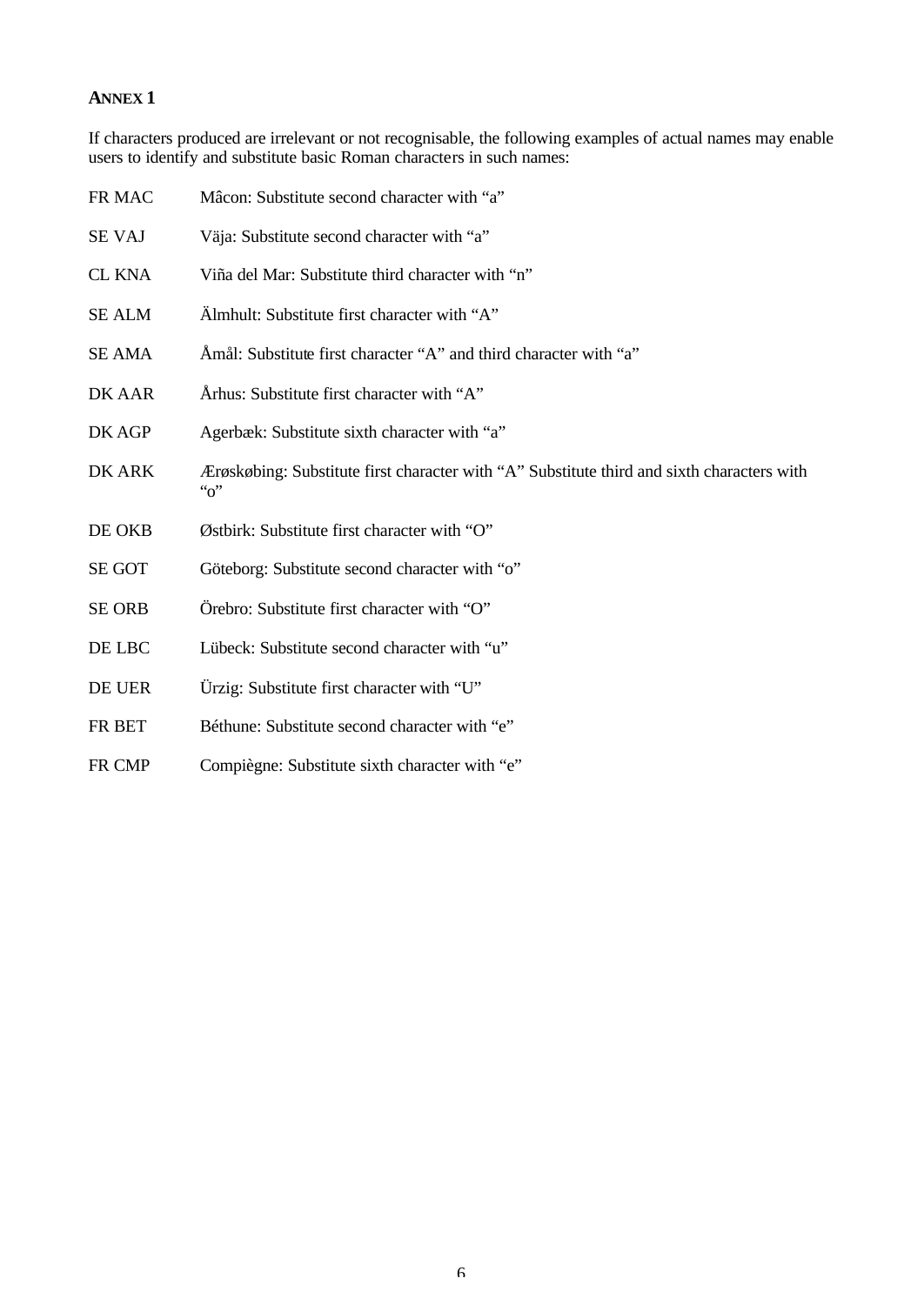### **ANNEX 1**

If characters produced are irrelevant or not recognisable, the following examples of actual names may enable users to identify and substitute basic Roman characters in such names:

| FR MAC        | Mâcon: Substitute second character with "a"                                                                         |
|---------------|---------------------------------------------------------------------------------------------------------------------|
| <b>SE VAJ</b> | Väja: Substitute second character with "a"                                                                          |
| <b>CL KNA</b> | Viña del Mar: Substitute third character with "n"                                                                   |
| <b>SE ALM</b> | Almhult: Substitute first character with "A"                                                                        |
| <b>SE AMA</b> | Amål: Substitute first character "A" and third character with "a"                                                   |
| DK AAR        | Århus: Substitute first character with "A"                                                                          |
| DK AGP        | Agerbæk: Substitute sixth character with "a"                                                                        |
| DK ARK        | Ærøskøbing: Substitute first character with "A" Substitute third and sixth characters with<br>$\lq\lq$ <sup>"</sup> |
| DE OKB        | Østbirk: Substitute first character with "O"                                                                        |
| <b>SE GOT</b> | Göteborg: Substitute second character with "o"                                                                      |
| <b>SE ORB</b> | Örebro: Substitute first character with "O"                                                                         |
| DE LBC        | Lübeck: Substitute second character with "u"                                                                        |
| DE UER        | Ürzig: Substitute first character with "U"                                                                          |
| FR BET        | Béthune: Substitute second character with "e"                                                                       |
| FR CMP        | Compiègne: Substitute sixth character with "e"                                                                      |